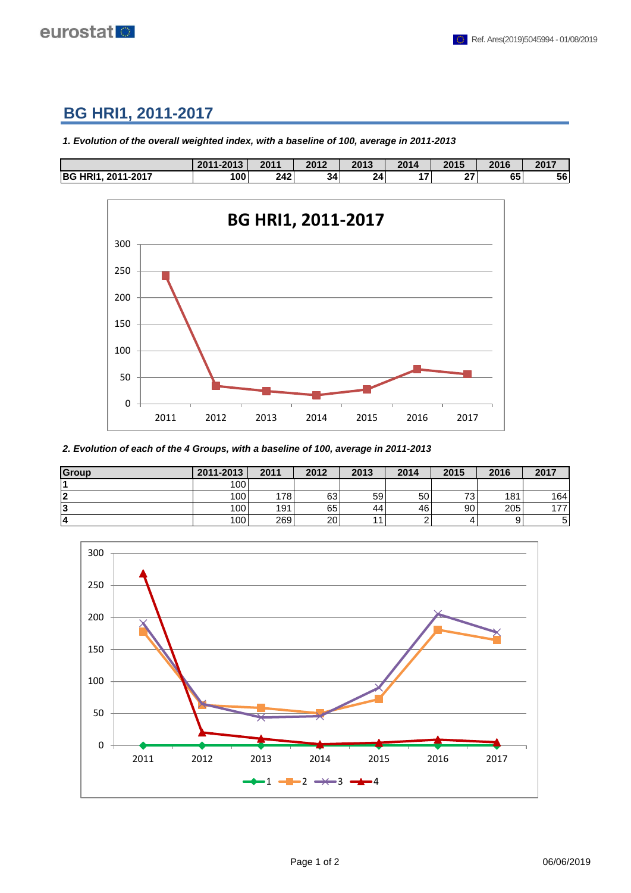

## **BG HRI1, 2011-2017**

*1. Evolution of the overall weighted index, with a baseline of 100, average in 2011-2013*

|                               | $1 - 201$ <sup>2</sup><br>12011 | 2011 | 2012 | 2013 | 2014 | 2015          | 2016 | 2017 |
|-------------------------------|---------------------------------|------|------|------|------|---------------|------|------|
| <b>BG HRI1</b><br>. 2011-2017 | 100                             | 242  | 34   | 24   | 17.  | $\sim$<br>. . | 65   | 56   |



*2. Evolution of each of the 4 Groups, with a baseline of 100, average in 2011-2013*

| Group | 2011-2013 | 2011 | 2012 | 2013 | 2014            | 2015     | 2016 | 2017 |
|-------|-----------|------|------|------|-----------------|----------|------|------|
|       | 100       |      |      |      |                 |          |      |      |
| 12    | 100       | 178  | 63   | 59   | 50              | 72.<br>◡ | 181  | 164  |
| 13    | 100       | 191  | 65   | 44   | 46 <sup>1</sup> | 90       | 205  | 477  |
| 14    | 100       | 269  | 20   |      |                 |          |      |      |